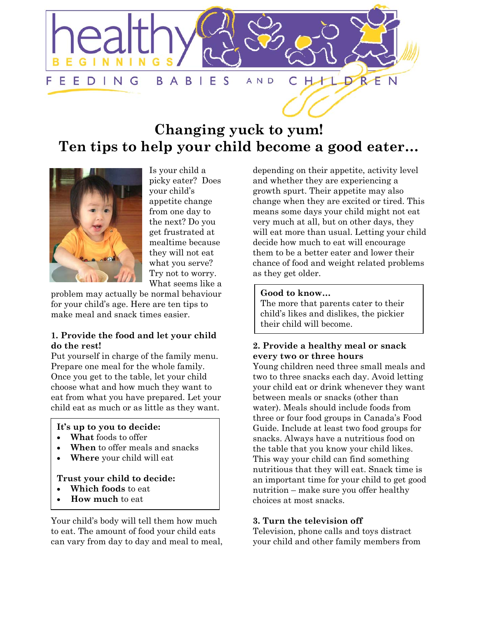

# **Changing yuck to yum! Ten tips to help your child become a good eater…**



Is your child a picky eater? Does your child's appetite change from one day to the next? Do you get frustrated at mealtime because they will not eat what you serve? Try not to worry. What seems like a

problem may actually be normal behaviour for your child's age. Here are ten tips to make meal and snack times easier.

## **1. Provide the food and let your child do the rest!**

Put yourself in charge of the family menu. Prepare one meal for the whole family. Once you get to the table, let your child choose what and how much they want to eat from what you have prepared. Let your child eat as much or as little as they want.

## **It's up to you to decide:**

- **What** foods to offer
- **When** to offer meals and snacks
- **Where** your child will eat

#### **Trust your child to decide:**

- **Which foods** to eat
- **How much** to eat

Your child's body will tell them how much to eat. The amount of food your child eats can vary from day to day and meal to meal,

depending on their appetite, activity level and whether they are experiencing a growth spurt. Their appetite may also change when they are excited or tired. This means some days your child might not eat very much at all, but on other days, they will eat more than usual. Letting your child decide how much to eat will encourage them to be a better eater and lower their chance of food and weight related problems as they get older.

#### **Good to know…**

The more that parents cater to their child's likes and dislikes, the pickier their child will become.

## **2. Provide a healthy meal or snack every two or three hours**

Young children need three small meals and two to three snacks each day. Avoid letting your child eat or drink whenever they want between meals or snacks (other than water). Meals should include foods from three or four food groups in Canada's Food Guide. Include at least two food groups for snacks. Always have a nutritious food on the table that you know your child likes. This way your child can find something nutritious that they will eat. Snack time is an important time for your child to get good nutrition – make sure you offer healthy choices at most snacks.

## **3. Turn the television off**

Television, phone calls and toys distract your child and other family members from